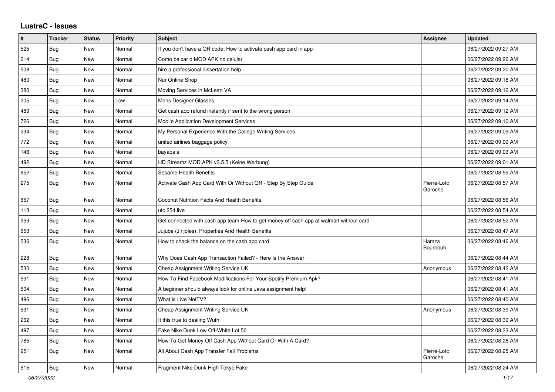## **LustreC - Issues**

| $\#$ | <b>Tracker</b> | <b>Status</b> | <b>Priority</b> | <b>Subject</b>                                                                         | Assignee               | <b>Updated</b>      |
|------|----------------|---------------|-----------------|----------------------------------------------------------------------------------------|------------------------|---------------------|
| 525  | Bug            | <b>New</b>    | Normal          | If you don't have a QR code: How to activate cash app card in app                      |                        | 06/27/2022 09:27 AM |
| 614  | Bug            | <b>New</b>    | Normal          | Como baixar o MOD APK no celular                                                       |                        | 06/27/2022 09:26 AM |
| 508  | Bug            | <b>New</b>    | Normal          | hire a professional dissertation help                                                  |                        | 06/27/2022 09:20 AM |
| 480  | Bug            | New           | Normal          | Nur Online Shop                                                                        |                        | 06/27/2022 09:18 AM |
| 380  | Bug            | <b>New</b>    | Normal          | Moving Services in McLean VA                                                           |                        | 06/27/2022 09:16 AM |
| 205  | <b>Bug</b>     | <b>New</b>    | Low             | Mens Designer Glasses                                                                  |                        | 06/27/2022 09:14 AM |
| 489  | Bug            | <b>New</b>    | Normal          | Get cash app refund instantly if sent to the wrong person                              |                        | 06/27/2022 09:12 AM |
| 726  | <b>Bug</b>     | <b>New</b>    | Normal          | Mobile Application Development Services                                                |                        | 06/27/2022 09:10 AM |
| 234  | Bug            | <b>New</b>    | Normal          | My Personal Experience With the College Writing Services                               |                        | 06/27/2022 09:09 AM |
| 772  | Bug            | <b>New</b>    | Normal          | united airlines baggage policy                                                         |                        | 06/27/2022 09:09 AM |
| 146  | Bug            | New           | Normal          | bayabais                                                                               |                        | 06/27/2022 09:03 AM |
| 492  | Bug            | <b>New</b>    | Normal          | HD Streamz MOD APK v3.5.5 (Keine Werbung)                                              |                        | 06/27/2022 09:01 AM |
| 652  | Bug            | <b>New</b>    | Normal          | Sesame Health Benefits                                                                 |                        | 06/27/2022 08:59 AM |
| 275  | Bug            | <b>New</b>    | Normal          | Activate Cash App Card With Or Without QR - Step By Step Guide                         | Pierre-Loïc<br>Garoche | 06/27/2022 08:57 AM |
| 657  | Bug            | <b>New</b>    | Normal          | Coconut Nutrition Facts And Health Benefits                                            |                        | 06/27/2022 08:56 AM |
| 113  | Bug            | <b>New</b>    | Normal          | ufc 254 live                                                                           |                        | 06/27/2022 08:54 AM |
| 959  | Bug            | <b>New</b>    | Normal          | Get connected with cash app team-How to get money off cash app at walmart without card |                        | 06/27/2022 08:52 AM |
| 653  | <b>Bug</b>     | <b>New</b>    | Normal          | Jujube (Jinjoles): Properties And Health Benefits                                      |                        | 06/27/2022 08:47 AM |
| 536  | <b>Bug</b>     | <b>New</b>    | Normal          | How to check the balance on the cash app card                                          | Hamza<br>Bourbouh      | 06/27/2022 08:46 AM |
| 228  | <b>Bug</b>     | <b>New</b>    | Normal          | Why Does Cash App Transaction Failed? - Here Is the Answer                             |                        | 06/27/2022 08:44 AM |
| 530  | Bug            | <b>New</b>    | Normal          | Cheap Assignment Writing Service UK                                                    | Anonymous              | 06/27/2022 08:42 AM |
| 591  | Bug            | New           | Normal          | How To Find Facebook Modifications For Your Spotify Premium Apk?                       |                        | 06/27/2022 08:41 AM |
| 504  | <b>Bug</b>     | <b>New</b>    | Normal          | A beginner should always look for online Java assignment help!                         |                        | 06/27/2022 08:41 AM |
| 496  | Bug            | <b>New</b>    | Normal          | What is Live NetTV?                                                                    |                        | 06/27/2022 08:40 AM |
| 531  | Bug            | <b>New</b>    | Normal          | Cheap Assignment Writing Service UK                                                    | Anonymous              | 06/27/2022 08:39 AM |
| 262  | <b>Bug</b>     | <b>New</b>    | Normal          | It this true to dealing Wuth                                                           |                        | 06/27/2022 08:39 AM |
| 497  | <b>Bug</b>     | <b>New</b>    | Normal          | Fake Nike Dunk Low Off-White Lot 50                                                    |                        | 06/27/2022 08:33 AM |
| 785  | Bug            | <b>New</b>    | Normal          | How To Get Money Off Cash App Without Card Or With A Card?                             |                        | 06/27/2022 08:28 AM |
| 251  | <b>Bug</b>     | <b>New</b>    | Normal          | All About Cash App Transfer Fail Problems                                              | Pierre-Loïc<br>Garoche | 06/27/2022 08:25 AM |
| 515  | Bug            | <b>New</b>    | Normal          | Fragment Nike Dunk High Tokyo Fake                                                     |                        | 06/27/2022 08:24 AM |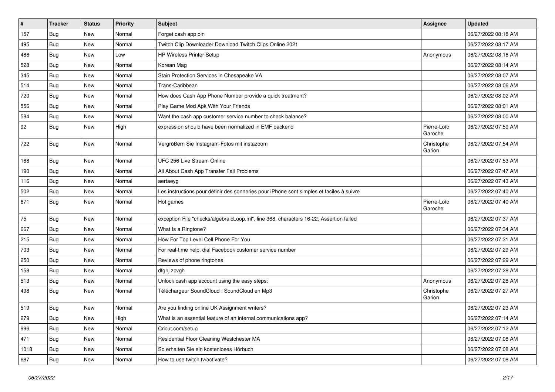| $\vert$ # | <b>Tracker</b> | <b>Status</b> | <b>Priority</b> | <b>Subject</b>                                                                           | <b>Assignee</b>        | <b>Updated</b>      |
|-----------|----------------|---------------|-----------------|------------------------------------------------------------------------------------------|------------------------|---------------------|
| 157       | Bug            | New           | Normal          | Forget cash app pin                                                                      |                        | 06/27/2022 08:18 AM |
| 495       | Bug            | New           | Normal          | Twitch Clip Downloader Download Twitch Clips Online 2021                                 |                        | 06/27/2022 08:17 AM |
| 486       | <b>Bug</b>     | New           | Low             | HP Wireless Printer Setup                                                                | Anonymous              | 06/27/2022 08:16 AM |
| 528       | Bug            | New           | Normal          | Korean Mag                                                                               |                        | 06/27/2022 08:14 AM |
| 345       | Bug            | New           | Normal          | Stain Protection Services in Chesapeake VA                                               |                        | 06/27/2022 08:07 AM |
| 514       | Bug            | New           | Normal          | Trans-Caribbean                                                                          |                        | 06/27/2022 08:06 AM |
| 720       | Bug            | New           | Normal          | How does Cash App Phone Number provide a quick treatment?                                |                        | 06/27/2022 08:02 AM |
| 556       | <b>Bug</b>     | New           | Normal          | Play Game Mod Apk With Your Friends                                                      |                        | 06/27/2022 08:01 AM |
| 584       | <b>Bug</b>     | New           | Normal          | Want the cash app customer service number to check balance?                              |                        | 06/27/2022 08:00 AM |
| 92        | <b>Bug</b>     | New           | High            | expression should have been normalized in EMF backend                                    | Pierre-Loïc<br>Garoche | 06/27/2022 07:59 AM |
| 722       | Bug            | New           | Normal          | Vergrößern Sie Instagram-Fotos mit instazoom                                             | Christophe<br>Garion   | 06/27/2022 07:54 AM |
| 168       | Bug            | New           | Normal          | UFC 256 Live Stream Online                                                               |                        | 06/27/2022 07:53 AM |
| 190       | <b>Bug</b>     | New           | Normal          | All About Cash App Transfer Fail Problems                                                |                        | 06/27/2022 07:47 AM |
| 116       | Bug            | New           | Normal          | aertaeyg                                                                                 |                        | 06/27/2022 07:43 AM |
| 502       | <b>Bug</b>     | New           | Normal          | Les instructions pour définir des sonneries pour iPhone sont simples et faciles à suivre |                        | 06/27/2022 07:40 AM |
| 671       | Bug            | New           | Normal          | Hot games                                                                                | Pierre-Loïc<br>Garoche | 06/27/2022 07:40 AM |
| 75        | Bug            | New           | Normal          | exception File "checks/algebraicLoop.ml", line 368, characters 16-22: Assertion failed   |                        | 06/27/2022 07:37 AM |
| 667       | Bug            | New           | Normal          | What Is a Ringtone?                                                                      |                        | 06/27/2022 07:34 AM |
| 215       | Bug            | New           | Normal          | How For Top Level Cell Phone For You                                                     |                        | 06/27/2022 07:31 AM |
| 703       | <b>Bug</b>     | New           | Normal          | For real-time help, dial Facebook customer service number                                |                        | 06/27/2022 07:29 AM |
| 250       | <b>Bug</b>     | New           | Normal          | Reviews of phone ringtones                                                               |                        | 06/27/2022 07:29 AM |
| 158       | <b>Bug</b>     | New           | Normal          | dfghj zcvgh                                                                              |                        | 06/27/2022 07:28 AM |
| 513       | Bug            | New           | Normal          | Unlock cash app account using the easy steps:                                            | Anonymous              | 06/27/2022 07:28 AM |
| 498       | <b>Bug</b>     | New           | Normal          | Téléchargeur SoundCloud : SoundCloud en Mp3                                              | Christophe<br>Garion   | 06/27/2022 07:27 AM |
| 519       | <b>Bug</b>     | New           | Normal          | Are you finding online UK Assignment writers?                                            |                        | 06/27/2022 07:23 AM |
| 279       | <b>Bug</b>     | New           | High            | What is an essential feature of an internal communications app?                          |                        | 06/27/2022 07:14 AM |
| 996       | <b>Bug</b>     | New           | Normal          | Cricut.com/setup                                                                         |                        | 06/27/2022 07:12 AM |
| 471       | <b>Bug</b>     | New           | Normal          | Residential Floor Cleaning Westchester MA                                                |                        | 06/27/2022 07:08 AM |
| 1018      | Bug            | New           | Normal          | So erhalten Sie ein kostenloses Hörbuch                                                  |                        | 06/27/2022 07:08 AM |
| 687       | <b>Bug</b>     | New           | Normal          | How to use twitch.tv/activate?                                                           |                        | 06/27/2022 07:08 AM |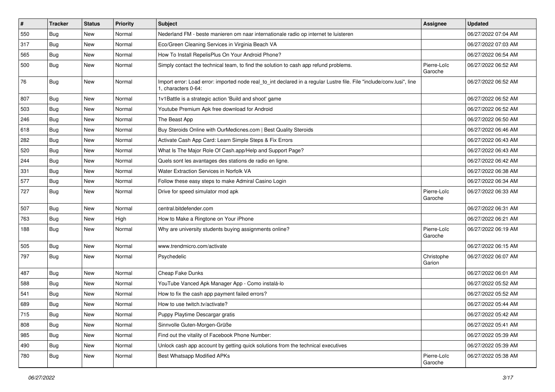| $\vert$ # | <b>Tracker</b> | <b>Status</b> | <b>Priority</b> | Subject                                                                                                                                      | <b>Assignee</b>        | <b>Updated</b>      |
|-----------|----------------|---------------|-----------------|----------------------------------------------------------------------------------------------------------------------------------------------|------------------------|---------------------|
| 550       | <b>Bug</b>     | New           | Normal          | Nederland FM - beste manieren om naar internationale radio op internet te luisteren                                                          |                        | 06/27/2022 07:04 AM |
| 317       | Bug            | New           | Normal          | Eco/Green Cleaning Services in Virginia Beach VA                                                                                             |                        | 06/27/2022 07:03 AM |
| 565       | Bug            | New           | Normal          | How To Install RepelisPlus On Your Android Phone?                                                                                            |                        | 06/27/2022 06:54 AM |
| 500       | <b>Bug</b>     | New           | Normal          | Simply contact the technical team, to find the solution to cash app refund problems.                                                         | Pierre-Loïc<br>Garoche | 06/27/2022 06:52 AM |
| 76        | Bug            | New           | Normal          | Import error: Load error: imported node real_to_int declared in a regular Lustre file. File "include/conv.lusi", line<br>1, characters 0-64: |                        | 06/27/2022 06:52 AM |
| 807       | Bug            | New           | Normal          | 1v1Battle is a strategic action 'Build and shoot' game                                                                                       |                        | 06/27/2022 06:52 AM |
| 503       | Bug            | New           | Normal          | Youtube Premium Apk free download for Android                                                                                                |                        | 06/27/2022 06:52 AM |
| 246       | Bug            | New           | Normal          | The Beast App                                                                                                                                |                        | 06/27/2022 06:50 AM |
| 618       | <b>Bug</b>     | New           | Normal          | Buy Steroids Online with OurMedicnes.com   Best Quality Steroids                                                                             |                        | 06/27/2022 06:46 AM |
| 282       | Bug            | New           | Normal          | Activate Cash App Card: Learn Simple Steps & Fix Errors                                                                                      |                        | 06/27/2022 06:43 AM |
| 520       | Bug            | New           | Normal          | What Is The Major Role Of Cash.app/Help and Support Page?                                                                                    |                        | 06/27/2022 06:43 AM |
| 244       | Bug            | New           | Normal          | Quels sont les avantages des stations de radio en ligne.                                                                                     |                        | 06/27/2022 06:42 AM |
| 331       | Bug            | New           | Normal          | Water Extraction Services in Norfolk VA                                                                                                      |                        | 06/27/2022 06:38 AM |
| 577       | Bug            | New           | Normal          | Follow these easy steps to make Admiral Casino Login                                                                                         |                        | 06/27/2022 06:34 AM |
| 727       | <b>Bug</b>     | New           | Normal          | Drive for speed simulator mod apk                                                                                                            | Pierre-Loïc<br>Garoche | 06/27/2022 06:33 AM |
| 507       | <b>Bug</b>     | New           | Normal          | central.bitdefender.com                                                                                                                      |                        | 06/27/2022 06:31 AM |
| 763       | <b>Bug</b>     | New           | High            | How to Make a Ringtone on Your iPhone                                                                                                        |                        | 06/27/2022 06:21 AM |
| 188       | <b>Bug</b>     | New           | Normal          | Why are university students buying assignments online?                                                                                       | Pierre-Loïc<br>Garoche | 06/27/2022 06:19 AM |
| 505       | Bug            | New           | Normal          | www.trendmicro.com/activate                                                                                                                  |                        | 06/27/2022 06:15 AM |
| 797       | <b>Bug</b>     | New           | Normal          | Psychedelic                                                                                                                                  | Christophe<br>Garion   | 06/27/2022 06:07 AM |
| 487       | Bug            | New           | Normal          | Cheap Fake Dunks                                                                                                                             |                        | 06/27/2022 06:01 AM |
| 588       | Bug            | New           | Normal          | YouTube Vanced Apk Manager App - Como instalá-lo                                                                                             |                        | 06/27/2022 05:52 AM |
| 541       | <b>Bug</b>     | New           | Normal          | How to fix the cash app payment failed errors?                                                                                               |                        | 06/27/2022 05:52 AM |
| 689       | Bug            | New           | Normal          | How to use twitch.tv/activate?                                                                                                               |                        | 06/27/2022 05:44 AM |
| 715       | Bug            | New           | Normal          | Puppy Playtime Descargar gratis                                                                                                              |                        | 06/27/2022 05:42 AM |
| 808       | <b>Bug</b>     | New           | Normal          | Sinnvolle Guten-Morgen-Grüße                                                                                                                 |                        | 06/27/2022 05:41 AM |
| 985       | Bug            | New           | Normal          | Find out the vitality of Facebook Phone Number:                                                                                              |                        | 06/27/2022 05:39 AM |
| 490       | <b>Bug</b>     | New           | Normal          | Unlock cash app account by getting quick solutions from the technical executives                                                             |                        | 06/27/2022 05:39 AM |
| 780       | <b>Bug</b>     | New           | Normal          | Best Whatsapp Modified APKs                                                                                                                  | Pierre-Loïc<br>Garoche | 06/27/2022 05:38 AM |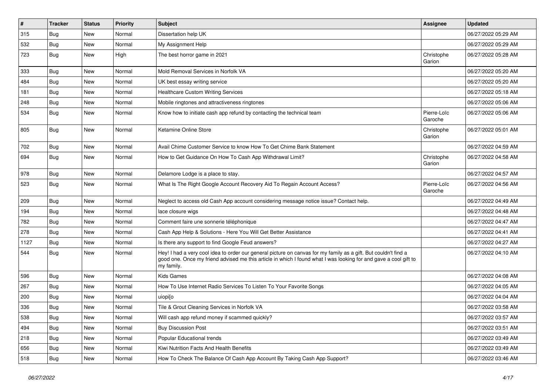| #    | <b>Tracker</b> | <b>Status</b> | Priority | <b>Subject</b>                                                                                                                                                                                                                                    | <b>Assignee</b>        | <b>Updated</b>      |
|------|----------------|---------------|----------|---------------------------------------------------------------------------------------------------------------------------------------------------------------------------------------------------------------------------------------------------|------------------------|---------------------|
| 315  | Bug            | New           | Normal   | Dissertation help UK                                                                                                                                                                                                                              |                        | 06/27/2022 05:29 AM |
| 532  | Bug            | <b>New</b>    | Normal   | My Assignment Help                                                                                                                                                                                                                                |                        | 06/27/2022 05:29 AM |
| 723  | Bug            | New           | High     | The best horror game in 2021                                                                                                                                                                                                                      | Christophe<br>Garion   | 06/27/2022 05:28 AM |
| 333  | <b>Bug</b>     | New           | Normal   | Mold Removal Services in Norfolk VA                                                                                                                                                                                                               |                        | 06/27/2022 05:20 AM |
| 484  | Bug            | <b>New</b>    | Normal   | UK best essay writing service                                                                                                                                                                                                                     |                        | 06/27/2022 05:20 AM |
| 181  | Bug            | New           | Normal   | <b>Healthcare Custom Writing Services</b>                                                                                                                                                                                                         |                        | 06/27/2022 05:18 AM |
| 248  | Bug            | New           | Normal   | Mobile ringtones and attractiveness ringtones                                                                                                                                                                                                     |                        | 06/27/2022 05:06 AM |
| 534  | Bug            | New           | Normal   | Know how to initiate cash app refund by contacting the technical team                                                                                                                                                                             | Pierre-Loïc<br>Garoche | 06/27/2022 05:06 AM |
| 805  | <b>Bug</b>     | New           | Normal   | Ketamine Online Store                                                                                                                                                                                                                             | Christophe<br>Garion   | 06/27/2022 05:01 AM |
| 702  | <b>Bug</b>     | New           | Normal   | Avail Chime Customer Service to know How To Get Chime Bank Statement                                                                                                                                                                              |                        | 06/27/2022 04:59 AM |
| 694  | <b>Bug</b>     | <b>New</b>    | Normal   | How to Get Guidance On How To Cash App Withdrawal Limit?                                                                                                                                                                                          | Christophe<br>Garion   | 06/27/2022 04:58 AM |
| 978  | Bug            | New           | Normal   | Delamore Lodge is a place to stay.                                                                                                                                                                                                                |                        | 06/27/2022 04:57 AM |
| 523  | Bug            | New           | Normal   | What Is The Right Google Account Recovery Aid To Regain Account Access?                                                                                                                                                                           | Pierre-Loïc<br>Garoche | 06/27/2022 04:56 AM |
| 209  | Bug            | New           | Normal   | Neglect to access old Cash App account considering message notice issue? Contact help.                                                                                                                                                            |                        | 06/27/2022 04:49 AM |
| 194  | Bug            | <b>New</b>    | Normal   | lace closure wigs                                                                                                                                                                                                                                 |                        | 06/27/2022 04:48 AM |
| 782  | Bug            | New           | Normal   | Comment faire une sonnerie téléphonique                                                                                                                                                                                                           |                        | 06/27/2022 04:47 AM |
| 278  | <b>Bug</b>     | New           | Normal   | Cash App Help & Solutions - Here You Will Get Better Assistance                                                                                                                                                                                   |                        | 06/27/2022 04:41 AM |
| 1127 | <b>Bug</b>     | New           | Normal   | Is there any support to find Google Feud answers?                                                                                                                                                                                                 |                        | 06/27/2022 04:27 AM |
| 544  | Bug            | New           | Normal   | Hey! I had a very cool idea to order our general picture on canvas for my family as a gift. But couldn't find a<br>good one. Once my friend advised me this article in which I found what I was looking for and gave a cool gift to<br>my family. |                        | 06/27/2022 04:10 AM |
| 596  | Bug            | New           | Normal   | <b>Kids Games</b>                                                                                                                                                                                                                                 |                        | 06/27/2022 04:08 AM |
| 267  | Bug            | New           | Normal   | How To Use Internet Radio Services To Listen To Your Favorite Songs                                                                                                                                                                               |                        | 06/27/2022 04:05 AM |
| 200  | Bug            | New           | Normal   | uiopilo                                                                                                                                                                                                                                           |                        | 06/27/2022 04:04 AM |
| 336  | <b>Bug</b>     | <b>New</b>    | Normal   | Tile & Grout Cleaning Services in Norfolk VA                                                                                                                                                                                                      |                        | 06/27/2022 03:58 AM |
| 538  | Bug            | New           | Normal   | Will cash app refund money if scammed quickly?                                                                                                                                                                                                    |                        | 06/27/2022 03:57 AM |
| 494  | <b>Bug</b>     | New           | Normal   | <b>Buy Discussion Post</b>                                                                                                                                                                                                                        |                        | 06/27/2022 03:51 AM |
| 218  | <b>Bug</b>     | New           | Normal   | Popular Educational trends                                                                                                                                                                                                                        |                        | 06/27/2022 03:49 AM |
| 656  | <b>Bug</b>     | New           | Normal   | Kiwi Nutrition Facts And Health Benefits                                                                                                                                                                                                          |                        | 06/27/2022 03:49 AM |
| 518  | <b>Bug</b>     | New           | Normal   | How To Check The Balance Of Cash App Account By Taking Cash App Support?                                                                                                                                                                          |                        | 06/27/2022 03:46 AM |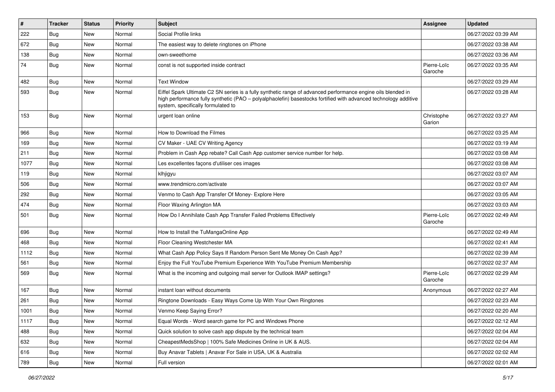| $\sharp$ | <b>Tracker</b> | <b>Status</b> | Priority | Subject                                                                                                                                                                                                                                                               | <b>Assignee</b>        | <b>Updated</b>      |
|----------|----------------|---------------|----------|-----------------------------------------------------------------------------------------------------------------------------------------------------------------------------------------------------------------------------------------------------------------------|------------------------|---------------------|
| 222      | Bug            | New           | Normal   | Social Profile links                                                                                                                                                                                                                                                  |                        | 06/27/2022 03:39 AM |
| 672      | Bug            | <b>New</b>    | Normal   | The easiest way to delete ringtones on iPhone                                                                                                                                                                                                                         |                        | 06/27/2022 03:38 AM |
| 138      | <b>Bug</b>     | New           | Normal   | own-sweethome                                                                                                                                                                                                                                                         |                        | 06/27/2022 03:36 AM |
| 74       | <b>Bug</b>     | New           | Normal   | const is not supported inside contract                                                                                                                                                                                                                                | Pierre-Loïc<br>Garoche | 06/27/2022 03:35 AM |
| 482      | Bug            | New           | Normal   | <b>Text Window</b>                                                                                                                                                                                                                                                    |                        | 06/27/2022 03:29 AM |
| 593      | <b>Bug</b>     | New           | Normal   | Eiffel Spark Ultimate C2 SN series is a fully synthetic range of advanced performance engine oils blended in<br>high performance fully synthetic (PAO – polyalphaolefin) basestocks fortified with advanced technology additive<br>system, specifically formulated to |                        | 06/27/2022 03:28 AM |
| 153      | <b>Bug</b>     | New           | Normal   | urgent loan online                                                                                                                                                                                                                                                    | Christophe<br>Garion   | 06/27/2022 03:27 AM |
| 966      | Bug            | New           | Normal   | How to Download the Filmes                                                                                                                                                                                                                                            |                        | 06/27/2022 03:25 AM |
| 169      | Bug            | New           | Normal   | CV Maker - UAE CV Writing Agency                                                                                                                                                                                                                                      |                        | 06/27/2022 03:19 AM |
| 211      | <b>Bug</b>     | New           | Normal   | Problem in Cash App rebate? Call Cash App customer service number for help.                                                                                                                                                                                           |                        | 06/27/2022 03:08 AM |
| 1077     | Bug            | New           | Normal   | Les excellentes facons d'utiliser ces images                                                                                                                                                                                                                          |                        | 06/27/2022 03:08 AM |
| 119      | Bug            | <b>New</b>    | Normal   | klhjigyu                                                                                                                                                                                                                                                              |                        | 06/27/2022 03:07 AM |
| 506      | <b>Bug</b>     | New           | Normal   | www.trendmicro.com/activate                                                                                                                                                                                                                                           |                        | 06/27/2022 03:07 AM |
| 292      | Bug            | New           | Normal   | Venmo to Cash App Transfer Of Money- Explore Here                                                                                                                                                                                                                     |                        | 06/27/2022 03:05 AM |
| 474      | Bug            | New           | Normal   | Floor Waxing Arlington MA                                                                                                                                                                                                                                             |                        | 06/27/2022 03:03 AM |
| 501      | Bug            | New           | Normal   | How Do I Annihilate Cash App Transfer Failed Problems Effectively                                                                                                                                                                                                     | Pierre-Loïc<br>Garoche | 06/27/2022 02:49 AM |
| 696      | <b>Bug</b>     | <b>New</b>    | Normal   | How to Install the TuMangaOnline App                                                                                                                                                                                                                                  |                        | 06/27/2022 02:49 AM |
| 468      | Bug            | New           | Normal   | Floor Cleaning Westchester MA                                                                                                                                                                                                                                         |                        | 06/27/2022 02:41 AM |
| 1112     | Bug            | <b>New</b>    | Normal   | What Cash App Policy Says If Random Person Sent Me Money On Cash App?                                                                                                                                                                                                 |                        | 06/27/2022 02:39 AM |
| 561      | Bug            | New           | Normal   | Enjoy the Full YouTube Premium Experience With YouTube Premium Membership                                                                                                                                                                                             |                        | 06/27/2022 02:37 AM |
| 569      | <b>Bug</b>     | New           | Normal   | What is the incoming and outgoing mail server for Outlook IMAP settings?                                                                                                                                                                                              | Pierre-Loïc<br>Garoche | 06/27/2022 02:29 AM |
| 167      | Bug            | New           | Normal   | instant loan without documents                                                                                                                                                                                                                                        | Anonymous              | 06/27/2022 02:27 AM |
| 261      | <b>Bug</b>     | <b>New</b>    | Normal   | Ringtone Downloads - Easy Ways Come Up With Your Own Ringtones                                                                                                                                                                                                        |                        | 06/27/2022 02:23 AM |
| 1001     | Bug            | New           | Normal   | Venmo Keep Saving Error?                                                                                                                                                                                                                                              |                        | 06/27/2022 02:20 AM |
| 1117     | <b>Bug</b>     | New           | Normal   | Equal Words - Word search game for PC and Windows Phone                                                                                                                                                                                                               |                        | 06/27/2022 02:12 AM |
| 488      | <b>Bug</b>     | New           | Normal   | Quick solution to solve cash app dispute by the technical team                                                                                                                                                                                                        |                        | 06/27/2022 02:04 AM |
| 632      | <b>Bug</b>     | New           | Normal   | CheapestMedsShop   100% Safe Medicines Online in UK & AUS.                                                                                                                                                                                                            |                        | 06/27/2022 02:04 AM |
| 616      | <b>Bug</b>     | New           | Normal   | Buy Anavar Tablets   Anavar For Sale in USA, UK & Australia                                                                                                                                                                                                           |                        | 06/27/2022 02:02 AM |
| 789      | <b>Bug</b>     | New           | Normal   | Full version                                                                                                                                                                                                                                                          |                        | 06/27/2022 02:01 AM |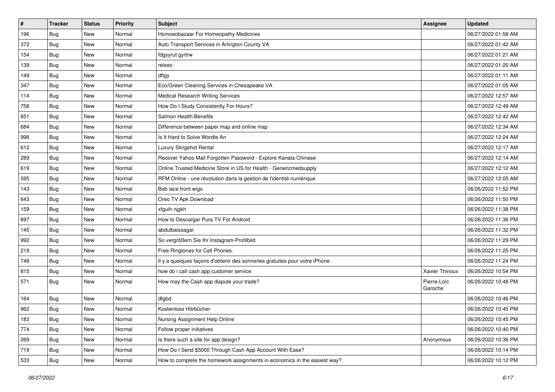| $\vert$ # | <b>Tracker</b> | <b>Status</b> | Priority | <b>Subject</b>                                                             | Assignee               | <b>Updated</b>      |
|-----------|----------------|---------------|----------|----------------------------------------------------------------------------|------------------------|---------------------|
| 196       | <b>Bug</b>     | New           | Normal   | Homoeobazaar For Homeopathy Medicines                                      |                        | 06/27/2022 01:58 AM |
| 372       | <b>Bug</b>     | <b>New</b>    | Normal   | Auto Transport Services in Arlington County VA                             |                        | 06/27/2022 01:42 AM |
| 154       | <b>Bug</b>     | New           | Normal   | fdgyyrut gyrtrw                                                            |                        | 06/27/2022 01:21 AM |
| 139       | <b>Bug</b>     | <b>New</b>    | Normal   | relseo                                                                     |                        | 06/27/2022 01:20 AM |
| 149       | Bug            | New           | Normal   | dftgy                                                                      |                        | 06/27/2022 01:11 AM |
| 347       | Bug            | <b>New</b>    | Normal   | Eco/Green Cleaning Services in Chesapeake VA                               |                        | 06/27/2022 01:05 AM |
| 114       | Bug            | New           | Normal   | Medical Research Writing Services                                          |                        | 06/27/2022 12:57 AM |
| 758       | <b>Bug</b>     | New           | Normal   | How Do I Study Consistently For Hours?                                     |                        | 06/27/2022 12:49 AM |
| 651       | <b>Bug</b>     | New           | Normal   | Salmon Health Benefits                                                     |                        | 06/27/2022 12:42 AM |
| 684       | Bug            | New           | Normal   | Difference between paper map and online map                                |                        | 06/27/2022 12:34 AM |
| 998       | <b>Bug</b>     | New           | Normal   | Is It Hard to Solve Wordle An                                              |                        | 06/27/2022 12:24 AM |
| 612       | Bug            | New           | Normal   | Luxury Slingshot Rental                                                    |                        | 06/27/2022 12:17 AM |
| 289       | Bug            | <b>New</b>    | Normal   | Recover Yahoo Mail Forgotten Password - Explore Kanata Chinese             |                        | 06/27/2022 12:14 AM |
| 619       | <b>Bug</b>     | New           | Normal   | Online Trusted Medicine Store in US for Health - Genericmedsupply          |                        | 06/27/2022 12:12 AM |
| 595       | Bug            | <b>New</b>    | Normal   | RFM Online - une révolution dans la gestion de l'identité numérique        |                        | 06/27/2022 12:05 AM |
| 143       | Bug            | New           | Normal   | Bob lace front wigs                                                        |                        | 06/26/2022 11:52 PM |
| 643       | <b>Bug</b>     | <b>New</b>    | Normal   | Oreo TV Apk Download                                                       |                        | 06/26/2022 11:50 PM |
| 159       | Bug            | New           | Normal   | xfguih njgkh                                                               |                        | 06/26/2022 11:38 PM |
| 697       | Bug            | New           | Normal   | How to Descargar Pura TV For Android                                       |                        | 06/26/2022 11:36 PM |
| 145       | <b>Bug</b>     | <b>New</b>    | Normal   | abdulbaissagar                                                             |                        | 06/26/2022 11:32 PM |
| 992       | <b>Bug</b>     | New           | Normal   | So vergrößern Sie Ihr Instagram-Profilbild                                 |                        | 06/26/2022 11:29 PM |
| 219       | <b>Bug</b>     | New           | Normal   | Free Ringtones for Cell Phones.                                            |                        | 06/26/2022 11:25 PM |
| 748       | Bug            | New           | Normal   | Il y a quelques façons d'obtenir des sonneries gratuites pour votre iPhone |                        | 06/26/2022 11:24 PM |
| 815       | <b>Bug</b>     | <b>New</b>    | Normal   | how do i call cash app customer service                                    | Xavier Thirioux        | 06/26/2022 10:54 PM |
| 571       | Bug            | New           | Normal   | How may the Cash app dispute your trade?                                   | Pierre-Loïc<br>Garoche | 06/26/2022 10:48 PM |
| 164       | <b>Bug</b>     | New           | Normal   | dfgbd                                                                      |                        | 06/26/2022 10:46 PM |
| 962       | <b>Bug</b>     | New           | Normal   | Kostenlose Hörbücher                                                       |                        | 06/26/2022 10:45 PM |
| 183       | <b>Bug</b>     | New           | Normal   | Nursing Assignment Help Online                                             |                        | 06/26/2022 10:45 PM |
| 774       | <b>Bug</b>     | New           | Normal   | Follow proper initiatives                                                  |                        | 06/26/2022 10:40 PM |
| 269       | <b>Bug</b>     | New           | Normal   | Is there such a site for app design?                                       | Anonymous              | 06/26/2022 10:36 PM |
| 719       | <b>Bug</b>     | New           | Normal   | How Do I Send \$5000 Through Cash App Account With Ease?                   |                        | 06/26/2022 10:14 PM |
| 533       | <b>Bug</b>     | New           | Normal   | How to complete the homework assignments in economics in the easiest way?  |                        | 06/26/2022 10:12 PM |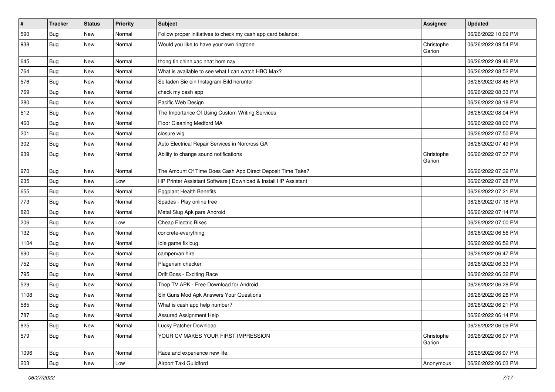| $\vert$ # | <b>Tracker</b> | <b>Status</b> | Priority | <b>Subject</b>                                                  | Assignee             | <b>Updated</b>      |
|-----------|----------------|---------------|----------|-----------------------------------------------------------------|----------------------|---------------------|
| 590       | <b>Bug</b>     | New           | Normal   | Follow proper initiatives to check my cash app card balance:    |                      | 06/26/2022 10:09 PM |
| 938       | <b>Bug</b>     | New           | Normal   | Would you like to have your own ringtone                        | Christophe<br>Garion | 06/26/2022 09:54 PM |
| 645       | <b>Bug</b>     | New           | Normal   | thong tin chinh xac nhat hom nay                                |                      | 06/26/2022 09:46 PM |
| 764       | Bug            | <b>New</b>    | Normal   | What is available to see what I can watch HBO Max?              |                      | 06/26/2022 08:52 PM |
| 576       | <b>Bug</b>     | New           | Normal   | So laden Sie ein Instagram-Bild herunter                        |                      | 06/26/2022 08:46 PM |
| 769       | Bug            | New           | Normal   | check my cash app                                               |                      | 06/26/2022 08:33 PM |
| 280       | Bug            | New           | Normal   | Pacific Web Design                                              |                      | 06/26/2022 08:18 PM |
| 512       | <b>Bug</b>     | New           | Normal   | The Importance Of Using Custom Writing Services                 |                      | 06/26/2022 08:04 PM |
| 460       | <b>Bug</b>     | <b>New</b>    | Normal   | Floor Cleaning Medford MA                                       |                      | 06/26/2022 08:00 PM |
| 201       | Bug            | New           | Normal   | closure wig                                                     |                      | 06/26/2022 07:50 PM |
| 302       | <b>Bug</b>     | <b>New</b>    | Normal   | Auto Electrical Repair Services in Norcross GA                  |                      | 06/26/2022 07:49 PM |
| 939       | Bug            | New           | Normal   | Ability to change sound notifications                           | Christophe<br>Garion | 06/26/2022 07:37 PM |
| 970       | Bug            | New           | Normal   | The Amount Of Time Does Cash App Direct Deposit Time Take?      |                      | 06/26/2022 07:32 PM |
| 235       | Bug            | New           | Low      | HP Printer Assistant Software   Download & Install HP Assistant |                      | 06/26/2022 07:28 PM |
| 655       | <b>Bug</b>     | New           | Normal   | <b>Eggplant Health Benefits</b>                                 |                      | 06/26/2022 07:21 PM |
| 773       | Bug            | New           | Normal   | Spades - Play online free                                       |                      | 06/26/2022 07:18 PM |
| 820       | <b>Bug</b>     | New           | Normal   | Metal Slug Apk para Android                                     |                      | 06/26/2022 07:14 PM |
| 206       | <b>Bug</b>     | New           | Low      | <b>Cheap Electric Bikes</b>                                     |                      | 06/26/2022 07:00 PM |
| 132       | Bug            | New           | Normal   | concrete-everything                                             |                      | 06/26/2022 06:56 PM |
| 1104      | Bug            | New           | Normal   | Idle game fix bug                                               |                      | 06/26/2022 06:52 PM |
| 690       | <b>Bug</b>     | <b>New</b>    | Normal   | campervan hire                                                  |                      | 06/26/2022 06:47 PM |
| 752       | <b>Bug</b>     | New           | Normal   | Plagerism checker                                               |                      | 06/26/2022 06:33 PM |
| 795       | <b>Bug</b>     | New           | Normal   | Drift Boss - Exciting Race                                      |                      | 06/26/2022 06:32 PM |
| 529       | Bug            | New           | Normal   | Thop TV APK - Free Download for Android                         |                      | 06/26/2022 06:28 PM |
| 1108      | <b>Bug</b>     | New           | Normal   | Six Guns Mod Apk Answers Your Questions                         |                      | 06/26/2022 06:26 PM |
| 585       | <b>Bug</b>     | New           | Normal   | What is cash app help number?                                   |                      | 06/26/2022 06:21 PM |
| 787       | Bug            | New           | Normal   | Assured Assignment Help                                         |                      | 06/26/2022 06:14 PM |
| 825       | Bug            | New           | Normal   | Lucky Patcher Download                                          |                      | 06/26/2022 06:09 PM |
| 579       | <b>Bug</b>     | New           | Normal   | YOUR CV MAKES YOUR FIRST IMPRESSION                             | Christophe<br>Garion | 06/26/2022 06:07 PM |
| 1096      | Bug            | New           | Normal   | Race and experience new life.                                   |                      | 06/26/2022 06:07 PM |
| 203       | <b>Bug</b>     | New           | Low      | Airport Taxi Guildford                                          | Anonymous            | 06/26/2022 06:03 PM |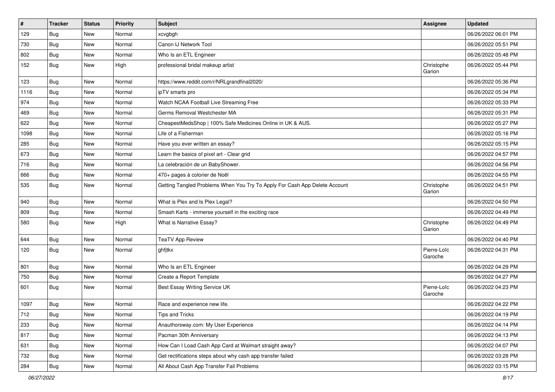| $\vert$ # | <b>Tracker</b> | <b>Status</b> | <b>Priority</b> | <b>Subject</b>                                                             | Assignee               | <b>Updated</b>      |
|-----------|----------------|---------------|-----------------|----------------------------------------------------------------------------|------------------------|---------------------|
| 129       | <b>Bug</b>     | New           | Normal          | xcvgbgh                                                                    |                        | 06/26/2022 06:01 PM |
| 730       | <b>Bug</b>     | New           | Normal          | Canon IJ Network Tool                                                      |                        | 06/26/2022 05:51 PM |
| 802       | Bug            | New           | Normal          | Who Is an ETL Engineer                                                     |                        | 06/26/2022 05:48 PM |
| 152       | <b>Bug</b>     | New           | High            | professional bridal makeup artist                                          | Christophe<br>Garion   | 06/26/2022 05:44 PM |
| 123       | <b>Bug</b>     | <b>New</b>    | Normal          | https://www.reddit.com/r/NRLgrandfinal2020/                                |                        | 06/26/2022 05:36 PM |
| 1116      | Bug            | New           | Normal          | ipTV smarts pro                                                            |                        | 06/26/2022 05:34 PM |
| 974       | Bug            | New           | Normal          | Watch NCAA Football Live Streaming Free                                    |                        | 06/26/2022 05:33 PM |
| 469       | <b>Bug</b>     | New           | Normal          | Germs Removal Westchester MA                                               |                        | 06/26/2022 05:31 PM |
| 622       | <b>Bug</b>     | <b>New</b>    | Normal          | CheapestMedsShop   100% Safe Medicines Online in UK & AUS.                 |                        | 06/26/2022 05:27 PM |
| 1098      | Bug            | New           | Normal          | Life of a Fisherman                                                        |                        | 06/26/2022 05:16 PM |
| 285       | <b>Bug</b>     | New           | Normal          | Have you ever written an essay?                                            |                        | 06/26/2022 05:15 PM |
| 673       | Bug            | New           | Normal          | Learn the basics of pixel art - Clear grid                                 |                        | 06/26/2022 04:57 PM |
| 716       | Bug            | New           | Normal          | La celebración de un BabyShower.                                           |                        | 06/26/2022 04:56 PM |
| 666       | Bug            | New           | Normal          | 470+ pages à colorier de Noël                                              |                        | 06/26/2022 04:55 PM |
| 535       | <b>Bug</b>     | New           | Normal          | Getting Tangled Problems When You Try To Apply For Cash App Delete Account | Christophe<br>Garion   | 06/26/2022 04:51 PM |
| 940       | Bug            | New           | Normal          | What is Plex and Is Plex Legal?                                            |                        | 06/26/2022 04:50 PM |
| 809       | <b>Bug</b>     | New           | Normal          | Smash Karts - immerse yourself in the exciting race                        |                        | 06/26/2022 04:49 PM |
| 580       | <b>Bug</b>     | New           | High            | What is Narrative Essay?                                                   | Christophe<br>Garion   | 06/26/2022 04:49 PM |
| 644       | Bug            | New           | Normal          | <b>TeaTV App Review</b>                                                    |                        | 06/26/2022 04:40 PM |
| 120       | <b>Bug</b>     | New           | Normal          | ghfjtkx                                                                    | Pierre-Loïc<br>Garoche | 06/26/2022 04:31 PM |
| 801       | Bug            | New           | Normal          | Who Is an ETL Engineer                                                     |                        | 06/26/2022 04:29 PM |
| 750       | Bug            | New           | Normal          | Create a Report Template                                                   |                        | 06/26/2022 04:27 PM |
| 601       | <b>Bug</b>     | New           | Normal          | Best Essay Writing Service UK                                              | Pierre-Loïc<br>Garoche | 06/26/2022 04:23 PM |
| 1097      | Bug            | New           | Normal          | Race and experience new life.                                              |                        | 06/26/2022 04:22 PM |
| 712       | Bug            | New           | Normal          | Tips and Tricks                                                            |                        | 06/26/2022 04:19 PM |
| 233       | Bug            | New           | Normal          | Anauthorsway.com: My User Experience                                       |                        | 06/26/2022 04:14 PM |
| 817       | Bug            | New           | Normal          | Pacman 30th Anniversary                                                    |                        | 06/26/2022 04:13 PM |
| 631       | <b>Bug</b>     | New           | Normal          | How Can I Load Cash App Card at Walmart straight away?                     |                        | 06/26/2022 04:07 PM |
| 732       | Bug            | New           | Normal          | Get rectifications steps about why cash app transfer failed                |                        | 06/26/2022 03:28 PM |
| 284       | <b>Bug</b>     | New           | Normal          | All About Cash App Transfer Fail Problems                                  |                        | 06/26/2022 03:15 PM |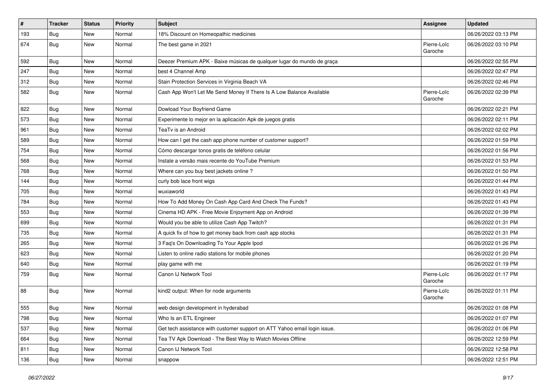| $\vert$ # | <b>Tracker</b> | <b>Status</b> | <b>Priority</b> | Subject                                                                   | Assignee               | <b>Updated</b>      |
|-----------|----------------|---------------|-----------------|---------------------------------------------------------------------------|------------------------|---------------------|
| 193       | <b>Bug</b>     | New           | Normal          | 18% Discount on Homeopathic medicines                                     |                        | 06/26/2022 03:13 PM |
| 674       | Bug            | New           | Normal          | The best game in 2021                                                     | Pierre-Loïc<br>Garoche | 06/26/2022 03:10 PM |
| 592       | Bug            | <b>New</b>    | Normal          | Deezer Premium APK - Baixe músicas de qualquer lugar do mundo de graça    |                        | 06/26/2022 02:55 PM |
| 247       | Bug            | <b>New</b>    | Normal          | best 4 Channel Amp                                                        |                        | 06/26/2022 02:47 PM |
| 312       | <b>Bug</b>     | New           | Normal          | Stain Protection Services in Virginia Beach VA                            |                        | 06/26/2022 02:46 PM |
| 582       | <b>Bug</b>     | New           | Normal          | Cash App Won't Let Me Send Money If There Is A Low Balance Available      | Pierre-Loïc<br>Garoche | 06/26/2022 02:39 PM |
| 822       | Bug            | New           | Normal          | Dowload Your Boyfriend Game                                               |                        | 06/26/2022 02:21 PM |
| 573       | Bug            | New           | Normal          | Experimente lo mejor en la aplicación Apk de juegos gratis                |                        | 06/26/2022 02:11 PM |
| 961       | <b>Bug</b>     | New           | Normal          | TeaTv is an Android                                                       |                        | 06/26/2022 02:02 PM |
| 589       | Bug            | New           | Normal          | How can I get the cash app phone number of customer support?              |                        | 06/26/2022 01:59 PM |
| 754       | Bug            | <b>New</b>    | Normal          | Cómo descargar tonos gratis de teléfono celular                           |                        | 06/26/2022 01:56 PM |
| 568       | <b>Bug</b>     | New           | Normal          | Instale a versão mais recente do YouTube Premium                          |                        | 06/26/2022 01:53 PM |
| 768       | Bug            | New           | Normal          | Where can you buy best jackets online?                                    |                        | 06/26/2022 01:50 PM |
| 144       | Bug            | New           | Normal          | curly bob lace front wigs                                                 |                        | 06/26/2022 01:44 PM |
| 705       | <b>Bug</b>     | New           | Normal          | wuxiaworld                                                                |                        | 06/26/2022 01:43 PM |
| 784       | Bug            | <b>New</b>    | Normal          | How To Add Money On Cash App Card And Check The Funds?                    |                        | 06/26/2022 01:43 PM |
| 553       | Bug            | New           | Normal          | Cinema HD APK - Free Movie Enjoyment App on Android                       |                        | 06/26/2022 01:39 PM |
| 699       | Bug            | New           | Normal          | Would you be able to utilize Cash App Twitch?                             |                        | 06/26/2022 01:31 PM |
| 735       | Bug            | <b>New</b>    | Normal          | A quick fix of how to get money back from cash app stocks                 |                        | 06/26/2022 01:31 PM |
| 265       | Bug            | New           | Normal          | 3 Faq's On Downloading To Your Apple Ipod                                 |                        | 06/26/2022 01:26 PM |
| 623       | <b>Bug</b>     | New           | Normal          | Listen to online radio stations for mobile phones                         |                        | 06/26/2022 01:20 PM |
| 640       | <b>Bug</b>     | New           | Normal          | play game with me                                                         |                        | 06/26/2022 01:19 PM |
| 759       | <b>Bug</b>     | New           | Normal          | Canon IJ Network Tool                                                     | Pierre-Loïc<br>Garoche | 06/26/2022 01:17 PM |
| 88        | Bug            | New           | Normal          | kind2 output: When for node arguments                                     | Pierre-Loïc<br>Garoche | 06/26/2022 01:11 PM |
| 555       | <b>Bug</b>     | <b>New</b>    | Normal          | web design development in hyderabad                                       |                        | 06/26/2022 01:08 PM |
| 798       | <b>Bug</b>     | New           | Normal          | Who Is an ETL Engineer                                                    |                        | 06/26/2022 01:07 PM |
| 537       | <b>Bug</b>     | New           | Normal          | Get tech assistance with customer support on ATT Yahoo email login issue. |                        | 06/26/2022 01:06 PM |
| 664       | <b>Bug</b>     | New           | Normal          | Tea TV Apk Download - The Best Way to Watch Movies Offline                |                        | 06/26/2022 12:59 PM |
| 811       | <b>Bug</b>     | New           | Normal          | Canon IJ Network Tool                                                     |                        | 06/26/2022 12:58 PM |
| 136       | <b>Bug</b>     | New           | Normal          | snappow                                                                   |                        | 06/26/2022 12:51 PM |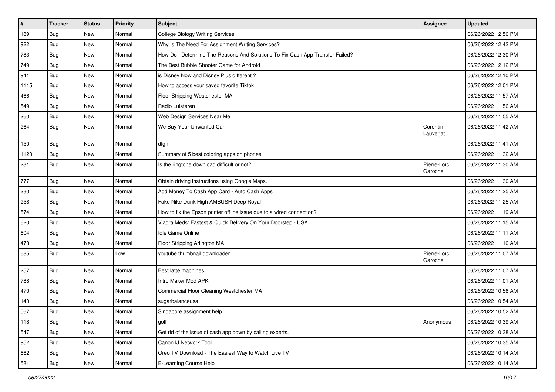| $\vert$ # | <b>Tracker</b> | <b>Status</b> | <b>Priority</b> | Subject                                                                       | Assignee               | <b>Updated</b>      |
|-----------|----------------|---------------|-----------------|-------------------------------------------------------------------------------|------------------------|---------------------|
| 189       | <b>Bug</b>     | New           | Normal          | <b>College Biology Writing Services</b>                                       |                        | 06/26/2022 12:50 PM |
| 922       | Bug            | New           | Normal          | Why Is The Need For Assignment Writing Services?                              |                        | 06/26/2022 12:42 PM |
| 783       | Bug            | New           | Normal          | How Do I Determine The Reasons And Solutions To Fix Cash App Transfer Failed? |                        | 06/26/2022 12:30 PM |
| 749       | <b>Bug</b>     | <b>New</b>    | Normal          | The Best Bubble Shooter Game for Android                                      |                        | 06/26/2022 12:12 PM |
| 941       | <b>Bug</b>     | New           | Normal          | is Disney Now and Disney Plus different?                                      |                        | 06/26/2022 12:10 PM |
| 1115      | <b>Bug</b>     | New           | Normal          | How to access your saved favorite Tiktok                                      |                        | 06/26/2022 12:01 PM |
| 466       | Bug            | New           | Normal          | Floor Stripping Westchester MA                                                |                        | 06/26/2022 11:57 AM |
| 549       | Bug            | New           | Normal          | Radio Luisteren                                                               |                        | 06/26/2022 11:56 AM |
| 260       | <b>Bug</b>     | New           | Normal          | Web Design Services Near Me                                                   |                        | 06/26/2022 11:55 AM |
| 264       | Bug            | New           | Normal          | We Buy Your Unwanted Car                                                      | Corentin<br>Lauverjat  | 06/26/2022 11:42 AM |
| 150       | Bug            | <b>New</b>    | Normal          | dfgh                                                                          |                        | 06/26/2022 11:41 AM |
| 1120      | Bug            | New           | Normal          | Summary of 5 best coloring apps on phones                                     |                        | 06/26/2022 11:32 AM |
| 231       | Bug            | New           | Normal          | Is the ringtone download difficult or not?                                    | Pierre-Loïc<br>Garoche | 06/26/2022 11:30 AM |
| 777       | Bug            | New           | Normal          | Obtain driving instructions using Google Maps.                                |                        | 06/26/2022 11:30 AM |
| 230       | <b>Bug</b>     | New           | Normal          | Add Money To Cash App Card - Auto Cash Apps                                   |                        | 06/26/2022 11:25 AM |
| 258       | <b>Bug</b>     | New           | Normal          | Fake Nike Dunk High AMBUSH Deep Royal                                         |                        | 06/26/2022 11:25 AM |
| 574       | <b>Bug</b>     | New           | Normal          | How to fix the Epson printer offline issue due to a wired connection?         |                        | 06/26/2022 11:19 AM |
| 620       | <b>Bug</b>     | New           | Normal          | Viagra Meds: Fastest & Quick Delivery On Your Doorstep - USA                  |                        | 06/26/2022 11:15 AM |
| 604       | Bug            | New           | Normal          | <b>Idle Game Online</b>                                                       |                        | 06/26/2022 11:11 AM |
| 473       | <b>Bug</b>     | New           | Normal          | Floor Stripping Arlington MA                                                  |                        | 06/26/2022 11:10 AM |
| 685       | Bug            | New           | Low             | youtube thumbnail downloader                                                  | Pierre-Loïc<br>Garoche | 06/26/2022 11:07 AM |
| 257       | Bug            | New           | Normal          | Best latte machines                                                           |                        | 06/26/2022 11:07 AM |
| 788       | Bug            | New           | Normal          | Intro Maker Mod APK                                                           |                        | 06/26/2022 11:01 AM |
| 470       | <b>Bug</b>     | <b>New</b>    | Normal          | Commercial Floor Cleaning Westchester MA                                      |                        | 06/26/2022 10:56 AM |
| 140       | Bug            | New           | Normal          | sugarbalanceusa                                                               |                        | 06/26/2022 10:54 AM |
| 567       | Bug            | New           | Normal          | Singapore assignment help                                                     |                        | 06/26/2022 10:52 AM |
| 118       | Bug            | New           | Normal          | golf                                                                          | Anonymous              | 06/26/2022 10:39 AM |
| 547       | Bug            | New           | Normal          | Get rid of the issue of cash app down by calling experts.                     |                        | 06/26/2022 10:38 AM |
| 952       | Bug            | New           | Normal          | Canon IJ Network Tool                                                         |                        | 06/26/2022 10:35 AM |
| 662       | Bug            | New           | Normal          | Oreo TV Download - The Easiest Way to Watch Live TV                           |                        | 06/26/2022 10:14 AM |
| 581       | <b>Bug</b>     | New           | Normal          | E-Learning Course Help                                                        |                        | 06/26/2022 10:14 AM |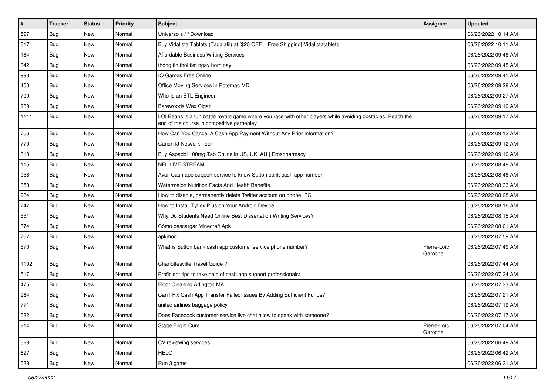| $\vert$ # | <b>Tracker</b> | <b>Status</b> | <b>Priority</b> | Subject                                                                                                                                                  | <b>Assignee</b>        | <b>Updated</b>      |
|-----------|----------------|---------------|-----------------|----------------------------------------------------------------------------------------------------------------------------------------------------------|------------------------|---------------------|
| 597       | <b>Bug</b>     | New           | Normal          | Universo s / f Download                                                                                                                                  |                        | 06/26/2022 10:14 AM |
| 617       | Bug            | New           | Normal          | Buy Vidalista Tablets (Tadalafil) at [\$25 OFF + Free Shipping] Vidalistatablets                                                                         |                        | 06/26/2022 10:11 AM |
| 184       | Bug            | New           | Normal          | <b>Affordable Business Writing Services</b>                                                                                                              |                        | 06/26/2022 09:46 AM |
| 642       | Bug            | New           | Normal          | thong tin thoi tiet ngay hom nay                                                                                                                         |                        | 06/26/2022 09:45 AM |
| 993       | Bug            | <b>New</b>    | Normal          | IO Games Free Online                                                                                                                                     |                        | 06/26/2022 09:41 AM |
| 400       | Bug            | New           | Normal          | Office Moving Services in Potomac MD                                                                                                                     |                        | 06/26/2022 09:28 AM |
| 799       | Bug            | <b>New</b>    | Normal          | Who Is an ETL Engineer                                                                                                                                   |                        | 06/26/2022 09:27 AM |
| 989       | Bug            | New           | Normal          | Barewoods Wax Cigar                                                                                                                                      |                        | 06/26/2022 09:19 AM |
| 1111      | <b>Bug</b>     | New           | Normal          | LOLBeans is a fun battle royale game where you race with other players while avoiding obstacles. Reach the<br>end of the course in competitive gameplay! |                        | 06/26/2022 09:17 AM |
| 706       | <b>Bug</b>     | New           | Normal          | How Can You Cancel A Cash App Payment Without Any Prior Information?                                                                                     |                        | 06/26/2022 09:13 AM |
| 770       | <b>Bug</b>     | New           | Normal          | Canon IJ Network Tool                                                                                                                                    |                        | 06/26/2022 09:12 AM |
| 613       | Bug            | <b>New</b>    | Normal          | Buy Aspadol 100mg Tab Online in US, UK, AU   Erospharmacy                                                                                                |                        | 06/26/2022 09:10 AM |
| 115       | Bug            | New           | Normal          | NFL LIVE STREAM                                                                                                                                          |                        | 06/26/2022 08:48 AM |
| 958       | Bug            | New           | Normal          | Avail Cash app support service to know Sutton bank cash app number                                                                                       |                        | 06/26/2022 08:46 AM |
| 658       | <b>Bug</b>     | New           | Normal          | Watermelon Nutrition Facts And Health Benefits                                                                                                           |                        | 06/26/2022 08:33 AM |
| 984       | Bug            | New           | Normal          | How to disable, permanently delete Twitter account on phone, PC                                                                                          |                        | 06/26/2022 08:28 AM |
| 747       | Bug            | <b>New</b>    | Normal          | How to Install Tyflex Plus on Your Android Device                                                                                                        |                        | 06/26/2022 08:16 AM |
| 551       | <b>Bug</b>     | New           | Normal          | Why Do Students Need Online Best Dissertation Writing Services?                                                                                          |                        | 06/26/2022 08:15 AM |
| 874       | Bug            | New           | Normal          | Cómo descargar Minecraft Apk                                                                                                                             |                        | 06/26/2022 08:01 AM |
| 767       | Bug            | New           | Normal          | apkmod                                                                                                                                                   |                        | 06/26/2022 07:59 AM |
| 570       | <b>Bug</b>     | New           | Normal          | What is Sutton bank cash app customer service phone number?                                                                                              | Pierre-Loïc<br>Garoche | 06/26/2022 07:49 AM |
| 1102      | Bug            | New           | Normal          | Charlottesville Travel Guide?                                                                                                                            |                        | 06/26/2022 07:44 AM |
| 517       | <b>Bug</b>     | New           | Normal          | Proficient tips to take help of cash app support professionals:                                                                                          |                        | 06/26/2022 07:34 AM |
| 475       | Bug            | <b>New</b>    | Normal          | Floor Cleaning Arlington MA                                                                                                                              |                        | 06/26/2022 07:33 AM |
| 964       | <b>Bug</b>     | New           | Normal          | Can I Fix Cash App Transfer Failed Issues By Adding Sufficient Funds?                                                                                    |                        | 06/26/2022 07:21 AM |
| 771       | <b>Bug</b>     | New           | Normal          | united airlines baggage policy                                                                                                                           |                        | 06/26/2022 07:19 AM |
| 682       | Bug            | New           | Normal          | Does Facebook customer service live chat allow to speak with someone?                                                                                    |                        | 06/26/2022 07:17 AM |
| 814       | Bug            | New           | Normal          | Stage Fright Cure                                                                                                                                        | Pierre-Loïc<br>Garoche | 06/26/2022 07:04 AM |
| 628       | <b>Bug</b>     | New           | Normal          | CV reviewing services!                                                                                                                                   |                        | 06/26/2022 06:49 AM |
| 627       | Bug            | New           | Normal          | <b>HELO</b>                                                                                                                                              |                        | 06/26/2022 06:42 AM |
| 638       | <b>Bug</b>     | New           | Normal          | Run 3 game                                                                                                                                               |                        | 06/26/2022 06:31 AM |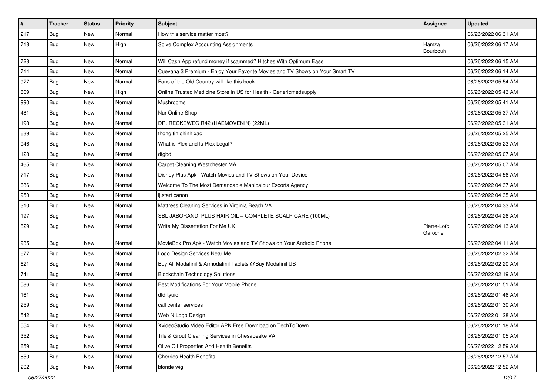| $\vert$ # | <b>Tracker</b> | <b>Status</b> | <b>Priority</b> | Subject                                                                      | Assignee               | <b>Updated</b>      |
|-----------|----------------|---------------|-----------------|------------------------------------------------------------------------------|------------------------|---------------------|
| 217       | Bug            | New           | Normal          | How this service matter most?                                                |                        | 06/26/2022 06:31 AM |
| 718       | <b>Bug</b>     | New           | High            | Solve Complex Accounting Assignments                                         | Hamza<br>Bourbouh      | 06/26/2022 06:17 AM |
| 728       | <b>Bug</b>     | New           | Normal          | Will Cash App refund money if scammed? Hitches With Optimum Ease             |                        | 06/26/2022 06:15 AM |
| 714       | Bug            | <b>New</b>    | Normal          | Cuevana 3 Premium - Enjoy Your Favorite Movies and TV Shows on Your Smart TV |                        | 06/26/2022 06:14 AM |
| 977       | <b>Bug</b>     | New           | Normal          | Fans of the Old Country will like this book.                                 |                        | 06/26/2022 05:54 AM |
| 609       | Bug            | New           | High            | Online Trusted Medicine Store in US for Health - Genericmedsupply            |                        | 06/26/2022 05:43 AM |
| 990       | Bug            | New           | Normal          | Mushrooms                                                                    |                        | 06/26/2022 05:41 AM |
| 481       | Bug            | New           | Normal          | Nur Online Shop                                                              |                        | 06/26/2022 05:37 AM |
| 198       | Bug            | <b>New</b>    | Normal          | DR. RECKEWEG R42 (HAEMOVENIN) (22ML)                                         |                        | 06/26/2022 05:31 AM |
| 639       | Bug            | New           | Normal          | thong tin chinh xac                                                          |                        | 06/26/2022 05:25 AM |
| 946       | Bug            | New           | Normal          | What is Plex and Is Plex Legal?                                              |                        | 06/26/2022 05:23 AM |
| 128       | Bug            | New           | Normal          | dfgbd                                                                        |                        | 06/26/2022 05:07 AM |
| 465       | Bug            | New           | Normal          | Carpet Cleaning Westchester MA                                               |                        | 06/26/2022 05:07 AM |
| 717       | Bug            | <b>New</b>    | Normal          | Disney Plus Apk - Watch Movies and TV Shows on Your Device                   |                        | 06/26/2022 04:56 AM |
| 686       | Bug            | New           | Normal          | Welcome To The Most Demandable Mahipalpur Escorts Agency                     |                        | 06/26/2022 04:37 AM |
| 950       | Bug            | New           | Normal          | ij.start canon                                                               |                        | 06/26/2022 04:35 AM |
| 310       | Bug            | <b>New</b>    | Normal          | Mattress Cleaning Services in Virginia Beach VA                              |                        | 06/26/2022 04:33 AM |
| 197       | <b>Bug</b>     | New           | Normal          | SBL JABORANDI PLUS HAIR OIL - COMPLETE SCALP CARE (100ML)                    |                        | 06/26/2022 04:26 AM |
| 829       | <b>Bug</b>     | New           | Normal          | Write My Dissertation For Me UK                                              | Pierre-Loïc<br>Garoche | 06/26/2022 04:13 AM |
| 935       | Bug            | <b>New</b>    | Normal          | MovieBox Pro Apk - Watch Movies and TV Shows on Your Android Phone           |                        | 06/26/2022 04:11 AM |
| 677       | Bug            | <b>New</b>    | Normal          | Logo Design Services Near Me                                                 |                        | 06/26/2022 02:32 AM |
| 621       | <b>Bug</b>     | New           | Normal          | Buy All Modafinil & Armodafinil Tablets @Buy Modafinil US                    |                        | 06/26/2022 02:20 AM |
| 741       | Bug            | New           | Normal          | <b>Blockchain Technology Solutions</b>                                       |                        | 06/26/2022 02:19 AM |
| 586       | Bug            | <b>New</b>    | Normal          | Best Modifications For Your Mobile Phone                                     |                        | 06/26/2022 01:51 AM |
| 161       | <b>Bug</b>     | New           | Normal          | dfdrtyuio                                                                    |                        | 06/26/2022 01:46 AM |
| 259       | <b>Bug</b>     | New           | Normal          | call center services                                                         |                        | 06/26/2022 01:30 AM |
| 542       | Bug            | New           | Normal          | Web N Logo Design                                                            |                        | 06/26/2022 01:28 AM |
| 554       | <b>Bug</b>     | New           | Normal          | XvideoStudio Video Editor APK Free Download on TechToDown                    |                        | 06/26/2022 01:18 AM |
| 352       | Bug            | New           | Normal          | Tile & Grout Cleaning Services in Chesapeake VA                              |                        | 06/26/2022 01:05 AM |
| 659       | <b>Bug</b>     | New           | Normal          | Olive Oil Properties And Health Benefits                                     |                        | 06/26/2022 12:59 AM |
| 650       | Bug            | New           | Normal          | <b>Cherries Health Benefits</b>                                              |                        | 06/26/2022 12:57 AM |
| 202       | <b>Bug</b>     | New           | Normal          | blonde wig                                                                   |                        | 06/26/2022 12:52 AM |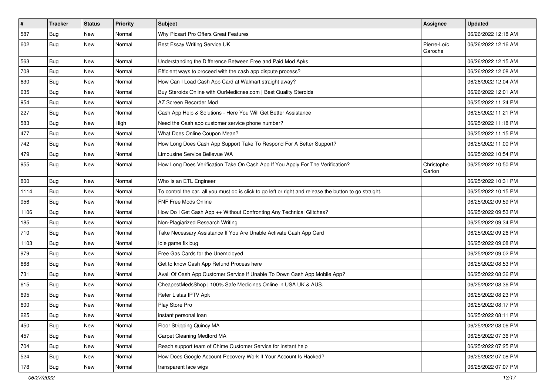| $\vert$ # | <b>Tracker</b> | <b>Status</b> | <b>Priority</b> | <b>Subject</b>                                                                                          | Assignee               | <b>Updated</b>      |
|-----------|----------------|---------------|-----------------|---------------------------------------------------------------------------------------------------------|------------------------|---------------------|
| 587       | <b>Bug</b>     | New           | Normal          | Why Picsart Pro Offers Great Features                                                                   |                        | 06/26/2022 12:18 AM |
| 602       | <b>Bug</b>     | New           | Normal          | Best Essay Writing Service UK                                                                           | Pierre-Loïc<br>Garoche | 06/26/2022 12:16 AM |
| 563       | Bug            | New           | Normal          | Understanding the Difference Between Free and Paid Mod Apks                                             |                        | 06/26/2022 12:15 AM |
| 708       | Bug            | New           | Normal          | Efficient ways to proceed with the cash app dispute process?                                            |                        | 06/26/2022 12:08 AM |
| 630       | <b>Bug</b>     | New           | Normal          | How Can I Load Cash App Card at Walmart straight away?                                                  |                        | 06/26/2022 12:04 AM |
| 635       | Bug            | New           | Normal          | Buy Steroids Online with OurMedicnes.com   Best Quality Steroids                                        |                        | 06/26/2022 12:01 AM |
| 954       | Bug            | New           | Normal          | AZ Screen Recorder Mod                                                                                  |                        | 06/25/2022 11:24 PM |
| 227       | <b>Bug</b>     | New           | Normal          | Cash App Help & Solutions - Here You Will Get Better Assistance                                         |                        | 06/25/2022 11:21 PM |
| 583       | Bug            | New           | High            | Need the Cash app customer service phone number?                                                        |                        | 06/25/2022 11:18 PM |
| 477       | Bug            | New           | Normal          | What Does Online Coupon Mean?                                                                           |                        | 06/25/2022 11:15 PM |
| 742       | <b>Bug</b>     | New           | Normal          | How Long Does Cash App Support Take To Respond For A Better Support?                                    |                        | 06/25/2022 11:00 PM |
| 479       | Bug            | New           | Normal          | Limousine Service Bellevue WA                                                                           |                        | 06/25/2022 10:54 PM |
| 955       | <b>Bug</b>     | New           | Normal          | How Long Does Verification Take On Cash App If You Apply For The Verification?                          | Christophe<br>Garion   | 06/25/2022 10:50 PM |
| 800       | Bug            | New           | Normal          | Who Is an ETL Engineer                                                                                  |                        | 06/25/2022 10:31 PM |
| 1114      | Bug            | New           | Normal          | To control the car, all you must do is click to go left or right and release the button to go straight. |                        | 06/25/2022 10:15 PM |
| 956       | Bug            | New           | Normal          | FNF Free Mods Online                                                                                    |                        | 06/25/2022 09:59 PM |
| 1106      | <b>Bug</b>     | New           | Normal          | How Do I Get Cash App ++ Without Confronting Any Technical Glitches?                                    |                        | 06/25/2022 09:53 PM |
| 185       | Bug            | New           | Normal          | Non-Plagiarized Research Writing                                                                        |                        | 06/25/2022 09:34 PM |
| 710       | Bug            | New           | Normal          | Take Necessary Assistance If You Are Unable Activate Cash App Card                                      |                        | 06/25/2022 09:26 PM |
| 1103      | Bug            | New           | Normal          | Idle game fix bug                                                                                       |                        | 06/25/2022 09:08 PM |
| 979       | Bug            | <b>New</b>    | Normal          | Free Gas Cards for the Unemployed                                                                       |                        | 06/25/2022 09:02 PM |
| 668       | Bug            | New           | Normal          | Get to know Cash App Refund Process here                                                                |                        | 06/25/2022 08:53 PM |
| 731       | <b>Bug</b>     | New           | Normal          | Avail Of Cash App Customer Service If Unable To Down Cash App Mobile App?                               |                        | 06/25/2022 08:36 PM |
| 615       | Bug            | New           | Normal          | CheapestMedsShop   100% Safe Medicines Online in USA UK & AUS.                                          |                        | 06/25/2022 08:36 PM |
| 695       | <b>Bug</b>     | New           | Normal          | Refer Listas IPTV Apk                                                                                   |                        | 06/25/2022 08:23 PM |
| 600       | <b>Bug</b>     | New           | Normal          | Play Store Pro                                                                                          |                        | 06/25/2022 08:17 PM |
| 225       | Bug            | New           | Normal          | instant personal loan                                                                                   |                        | 06/25/2022 08:11 PM |
| 450       | <b>Bug</b>     | New           | Normal          | Floor Stripping Quincy MA                                                                               |                        | 06/25/2022 08:06 PM |
| 457       | Bug            | New           | Normal          | <b>Carpet Cleaning Medford MA</b>                                                                       |                        | 06/25/2022 07:36 PM |
| 704       | <b>Bug</b>     | New           | Normal          | Reach support team of Chime Customer Service for instant help                                           |                        | 06/25/2022 07:25 PM |
| 524       | Bug            | New           | Normal          | How Does Google Account Recovery Work If Your Account Is Hacked?                                        |                        | 06/25/2022 07:08 PM |
| 178       | <b>Bug</b>     | New           | Normal          | transparent lace wigs                                                                                   |                        | 06/25/2022 07:07 PM |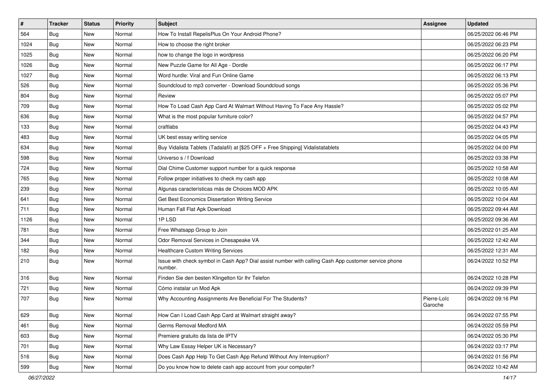| #    | <b>Tracker</b> | <b>Status</b> | <b>Priority</b> | <b>Subject</b>                                                                                                  | Assignee               | <b>Updated</b>      |
|------|----------------|---------------|-----------------|-----------------------------------------------------------------------------------------------------------------|------------------------|---------------------|
| 564  | <b>Bug</b>     | New           | Normal          | How To Install RepelisPlus On Your Android Phone?                                                               |                        | 06/25/2022 06:46 PM |
| 1024 | Bug            | New           | Normal          | How to choose the right broker                                                                                  |                        | 06/25/2022 06:23 PM |
| 1025 | Bug            | New           | Normal          | how to change the logo in wordpress                                                                             |                        | 06/25/2022 06:20 PM |
| 1026 | <b>Bug</b>     | New           | Normal          | New Puzzle Game for All Age - Dordle                                                                            |                        | 06/25/2022 06:17 PM |
| 1027 | Bug            | New           | Normal          | Word hurdle: Viral and Fun Online Game                                                                          |                        | 06/25/2022 06:13 PM |
| 526  | Bug            | New           | Normal          | Soundcloud to mp3 converter - Download Soundcloud songs                                                         |                        | 06/25/2022 05:36 PM |
| 804  | Bug            | New           | Normal          | Review                                                                                                          |                        | 06/25/2022 05:07 PM |
| 709  | Bug            | New           | Normal          | How To Load Cash App Card At Walmart Without Having To Face Any Hassle?                                         |                        | 06/25/2022 05:02 PM |
| 636  | <b>Bug</b>     | New           | Normal          | What is the most popular furniture color?                                                                       |                        | 06/25/2022 04:57 PM |
| 133  | Bug            | New           | Normal          | craftlabs                                                                                                       |                        | 06/25/2022 04:43 PM |
| 483  | <b>Bug</b>     | New           | Normal          | UK best essay writing service                                                                                   |                        | 06/25/2022 04:05 PM |
| 634  | Bug            | New           | Normal          | Buy Vidalista Tablets (Tadalafil) at [\$25 OFF + Free Shipping] Vidalistatablets                                |                        | 06/25/2022 04:00 PM |
| 598  | Bug            | <b>New</b>    | Normal          | Universo s / f Download                                                                                         |                        | 06/25/2022 03:38 PM |
| 724  | Bug            | New           | Normal          | Dial Chime Customer support number for a quick response                                                         |                        | 06/25/2022 10:58 AM |
| 765  | Bug            | New           | Normal          | Follow proper initiatives to check my cash app                                                                  |                        | 06/25/2022 10:08 AM |
| 239  | Bug            | New           | Normal          | Algunas características más de Choices MOD APK                                                                  |                        | 06/25/2022 10:05 AM |
| 641  | <b>Bug</b>     | New           | Normal          | Get Best Economics Dissertation Writing Service                                                                 |                        | 06/25/2022 10:04 AM |
| 711  | Bug            | New           | Normal          | Human Fall Flat Apk Download                                                                                    |                        | 06/25/2022 09:44 AM |
| 1126 | <b>Bug</b>     | New           | Normal          | 1PLSD                                                                                                           |                        | 06/25/2022 09:36 AM |
| 781  | Bug            | New           | Normal          | Free Whatsapp Group to Join                                                                                     |                        | 06/25/2022 01:25 AM |
| 344  | Bug            | New           | Normal          | Odor Removal Services in Chesapeake VA                                                                          |                        | 06/25/2022 12:42 AM |
| 182  | <b>Bug</b>     | New           | Normal          | Healthcare Custom Writing Services                                                                              |                        | 06/25/2022 12:31 AM |
| 210  | Bug            | New           | Normal          | Issue with check symbol in Cash App? Dial assist number with calling Cash App customer service phone<br>number. |                        | 06/24/2022 10:52 PM |
| 316  | <b>Bug</b>     | New           | Normal          | Finden Sie den besten Klingelton für Ihr Telefon                                                                |                        | 06/24/2022 10:28 PM |
| 721  | Bug            | New           | Normal          | Cómo instalar un Mod Apk                                                                                        |                        | 06/24/2022 09:39 PM |
| 707  | <b>Bug</b>     | New           | Normal          | Why Accounting Assignments Are Beneficial For The Students?                                                     | Pierre-Loïc<br>Garoche | 06/24/2022 09:16 PM |
| 629  | Bug            | New           | Normal          | How Can I Load Cash App Card at Walmart straight away?                                                          |                        | 06/24/2022 07:55 PM |
| 461  | <b>Bug</b>     | New           | Normal          | Germs Removal Medford MA                                                                                        |                        | 06/24/2022 05:59 PM |
| 603  | Bug            | New           | Normal          | Premiere gratuito da lista de IPTV                                                                              |                        | 06/24/2022 05:30 PM |
| 701  | <b>Bug</b>     | New           | Normal          | Why Law Essay Helper UK is Necessary?                                                                           |                        | 06/24/2022 03:17 PM |
| 516  | Bug            | New           | Normal          | Does Cash App Help To Get Cash App Refund Without Any Interruption?                                             |                        | 06/24/2022 01:56 PM |
| 599  | <b>Bug</b>     | New           | Normal          | Do you know how to delete cash app account from your computer?                                                  |                        | 06/24/2022 10:42 AM |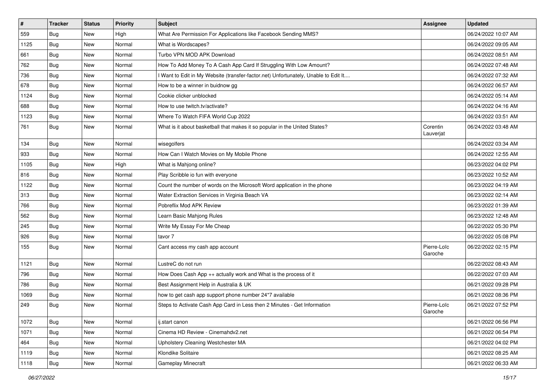| #    | <b>Tracker</b> | <b>Status</b> | <b>Priority</b> | <b>Subject</b>                                                                      | <b>Assignee</b>        | <b>Updated</b>      |
|------|----------------|---------------|-----------------|-------------------------------------------------------------------------------------|------------------------|---------------------|
| 559  | <b>Bug</b>     | New           | High            | What Are Permission For Applications like Facebook Sending MMS?                     |                        | 06/24/2022 10:07 AM |
| 1125 | Bug            | New           | Normal          | What is Wordscapes?                                                                 |                        | 06/24/2022 09:05 AM |
| 661  | Bug            | New           | Normal          | Turbo VPN MOD APK Download                                                          |                        | 06/24/2022 08:51 AM |
| 762  | Bug            | New           | Normal          | How To Add Money To A Cash App Card If Struggling With Low Amount?                  |                        | 06/24/2022 07:48 AM |
| 736  | <b>Bug</b>     | New           | Normal          | I Want to Edit in My Website (transfer-factor.net) Unfortunately, Unable to Edit It |                        | 06/24/2022 07:32 AM |
| 678  | <b>Bug</b>     | New           | Normal          | How to be a winner in buidnow gg                                                    |                        | 06/24/2022 06:57 AM |
| 1124 | Bug            | New           | Normal          | Cookie clicker unblocked                                                            |                        | 06/24/2022 05:14 AM |
| 688  | Bug            | New           | Normal          | How to use twitch.ty/activate?                                                      |                        | 06/24/2022 04:16 AM |
| 1123 | Bug            | New           | Normal          | Where To Watch FIFA World Cup 2022                                                  |                        | 06/24/2022 03:51 AM |
| 761  | Bug            | New           | Normal          | What is it about basketball that makes it so popular in the United States?          | Corentin<br>Lauverjat  | 06/24/2022 03:48 AM |
| 134  | Bug            | New           | Normal          | wisegolfers                                                                         |                        | 06/24/2022 03:34 AM |
| 933  | Bug            | New           | Normal          | How Can I Watch Movies on My Mobile Phone                                           |                        | 06/24/2022 12:55 AM |
| 1105 | <b>Bug</b>     | New           | High            | What is Mahjong online?                                                             |                        | 06/23/2022 04:02 PM |
| 816  | Bug            | New           | Normal          | Play Scribble io fun with everyone                                                  |                        | 06/23/2022 10:52 AM |
| 1122 | Bug            | New           | Normal          | Count the number of words on the Microsoft Word application in the phone            |                        | 06/23/2022 04:19 AM |
| 313  | Bug            | New           | Normal          | Water Extraction Services in Virginia Beach VA                                      |                        | 06/23/2022 02:14 AM |
| 766  | Bug            | New           | Normal          | Pobreflix Mod APK Review                                                            |                        | 06/23/2022 01:39 AM |
| 562  | <b>Bug</b>     | New           | Normal          | Learn Basic Mahjong Rules                                                           |                        | 06/23/2022 12:48 AM |
| 245  | Bug            | New           | Normal          | Write My Essay For Me Cheap                                                         |                        | 06/22/2022 05:30 PM |
| 926  | Bug            | New           | Normal          | tavor 7                                                                             |                        | 06/22/2022 05:08 PM |
| 155  | <b>Bug</b>     | New           | Normal          | Cant access my cash app account                                                     | Pierre-Loïc<br>Garoche | 06/22/2022 02:15 PM |
| 1121 | <b>Bug</b>     | New           | Normal          | LustreC do not run                                                                  |                        | 06/22/2022 08:43 AM |
| 796  | <b>Bug</b>     | New           | Normal          | How Does Cash App ++ actually work and What is the process of it                    |                        | 06/22/2022 07:03 AM |
| 786  | Bug            | New           | Normal          | Best Assignment Help in Australia & UK                                              |                        | 06/21/2022 09:28 PM |
| 1069 | <b>Bug</b>     | New           | Normal          | how to get cash app support phone number 24*7 available                             |                        | 06/21/2022 08:36 PM |
| 249  | Bug            | New           | Normal          | Steps to Activate Cash App Card in Less then 2 Minutes - Get Information            | Pierre-Loïc<br>Garoche | 06/21/2022 07:52 PM |
| 1072 | <b>Bug</b>     | New           | Normal          | ij.start canon                                                                      |                        | 06/21/2022 06:56 PM |
| 1071 | Bug            | New           | Normal          | Cinema HD Review - Cinemahdv2.net                                                   |                        | 06/21/2022 06:54 PM |
| 464  | Bug            | New           | Normal          | Upholstery Cleaning Westchester MA                                                  |                        | 06/21/2022 04:02 PM |
| 1119 | <b>Bug</b>     | New           | Normal          | Klondike Solitaire                                                                  |                        | 06/21/2022 08:25 AM |
| 1118 | Bug            | New           | Normal          | Gameplay Minecraft                                                                  |                        | 06/21/2022 06:33 AM |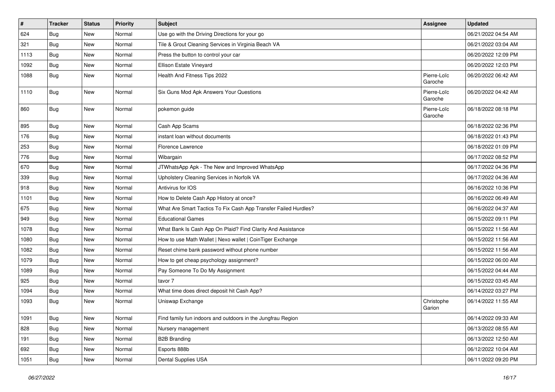| #    | <b>Tracker</b> | <b>Status</b> | <b>Priority</b> | Subject                                                         | Assignee               | <b>Updated</b>      |
|------|----------------|---------------|-----------------|-----------------------------------------------------------------|------------------------|---------------------|
| 624  | <b>Bug</b>     | New           | Normal          | Use go with the Driving Directions for your go                  |                        | 06/21/2022 04:54 AM |
| 321  | Bug            | New           | Normal          | Tile & Grout Cleaning Services in Virginia Beach VA             |                        | 06/21/2022 03:04 AM |
| 1113 | <b>Bug</b>     | New           | Normal          | Press the button to control your car                            |                        | 06/20/2022 12:09 PM |
| 1092 | Bug            | New           | Normal          | Ellison Estate Vineyard                                         |                        | 06/20/2022 12:03 PM |
| 1088 | <b>Bug</b>     | New           | Normal          | Health And Fitness Tips 2022                                    | Pierre-Loïc<br>Garoche | 06/20/2022 06:42 AM |
| 1110 | <b>Bug</b>     | <b>New</b>    | Normal          | Six Guns Mod Apk Answers Your Questions                         | Pierre-Loïc<br>Garoche | 06/20/2022 04:42 AM |
| 860  | <b>Bug</b>     | New           | Normal          | pokemon guide                                                   | Pierre-Loïc<br>Garoche | 06/18/2022 08:18 PM |
| 895  | Bug            | New           | Normal          | Cash App Scams                                                  |                        | 06/18/2022 02:36 PM |
| 176  | Bug            | New           | Normal          | instant loan without documents                                  |                        | 06/18/2022 01:43 PM |
| 253  | <b>Bug</b>     | New           | Normal          | Florence Lawrence                                               |                        | 06/18/2022 01:09 PM |
| 776  | Bug            | New           | Normal          | Wibargain                                                       |                        | 06/17/2022 08:52 PM |
| 670  | Bug            | <b>New</b>    | Normal          | JTWhatsApp Apk - The New and Improved WhatsApp                  |                        | 06/17/2022 04:36 PM |
| 339  | <b>Bug</b>     | New           | Normal          | Upholstery Cleaning Services in Norfolk VA                      |                        | 06/17/2022 04:36 AM |
| 918  | <b>Bug</b>     | New           | Normal          | Antivirus for IOS                                               |                        | 06/16/2022 10:36 PM |
| 1101 | Bug            | New           | Normal          | How to Delete Cash App History at once?                         |                        | 06/16/2022 06:49 AM |
| 675  | <b>Bug</b>     | New           | Normal          | What Are Smart Tactics To Fix Cash App Transfer Failed Hurdles? |                        | 06/16/2022 04:37 AM |
| 949  | Bug            | New           | Normal          | <b>Educational Games</b>                                        |                        | 06/15/2022 09:11 PM |
| 1078 | Bug            | New           | Normal          | What Bank Is Cash App On Plaid? Find Clarity And Assistance     |                        | 06/15/2022 11:56 AM |
| 1080 | Bug            | New           | Normal          | How to use Math Wallet   Nexo wallet   CoinTiger Exchange       |                        | 06/15/2022 11:56 AM |
| 1082 | Bug            | New           | Normal          | Reset chime bank password without phone number                  |                        | 06/15/2022 11:56 AM |
| 1079 | Bug            | New           | Normal          | How to get cheap psychology assignment?                         |                        | 06/15/2022 06:00 AM |
| 1089 | <b>Bug</b>     | New           | Normal          | Pay Someone To Do My Assignment                                 |                        | 06/15/2022 04:44 AM |
| 925  | Bug            | New           | Normal          | tavor 7                                                         |                        | 06/15/2022 03:45 AM |
| 1094 | Bug            | New           | Normal          | What time does direct deposit hit Cash App?                     |                        | 06/14/2022 03:27 PM |
| 1093 | Bug            | New           | Normal          | Uniswap Exchange                                                | Christophe<br>Garion   | 06/14/2022 11:55 AM |
| 1091 | <b>Bug</b>     | New           | Normal          | Find family fun indoors and outdoors in the Jungfrau Region     |                        | 06/14/2022 09:33 AM |
| 828  | Bug            | New           | Normal          | Nursery management                                              |                        | 06/13/2022 08:55 AM |
| 191  | <b>Bug</b>     | New           | Normal          | <b>B2B Branding</b>                                             |                        | 06/13/2022 12:50 AM |
| 692  | Bug            | New           | Normal          | Esports 888b                                                    |                        | 06/12/2022 10:04 AM |
| 1051 | <b>Bug</b>     | New           | Normal          | Dental Supplies USA                                             |                        | 06/11/2022 09:20 PM |